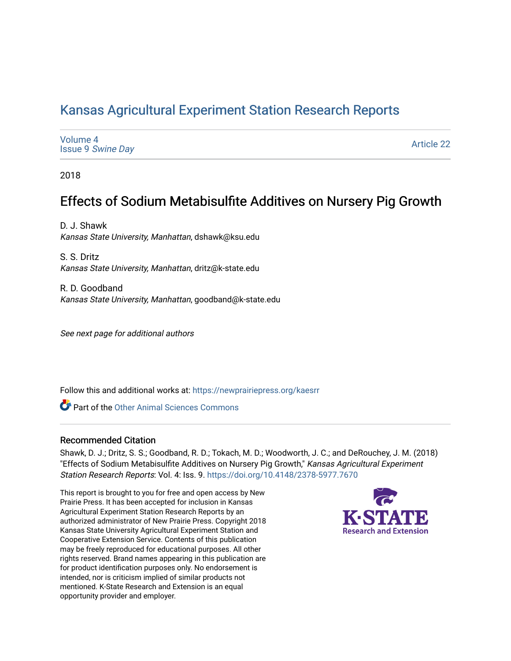# [Kansas Agricultural Experiment Station Research Reports](https://newprairiepress.org/kaesrr)

| Volume 4<br><b>Issue 9 Swine Day</b> | <b>Article 22</b> |
|--------------------------------------|-------------------|
|--------------------------------------|-------------------|

2018

# Effects of Sodium Metabisulfite Additives on Nursery Pig Growth

D. J. Shawk Kansas State University, Manhattan, dshawk@ksu.edu

S. S. Dritz Kansas State University, Manhattan, dritz@k-state.edu

R. D. Goodband Kansas State University, Manhattan, goodband@k-state.edu

See next page for additional authors

Follow this and additional works at: [https://newprairiepress.org/kaesrr](https://newprairiepress.org/kaesrr?utm_source=newprairiepress.org%2Fkaesrr%2Fvol4%2Fiss9%2F22&utm_medium=PDF&utm_campaign=PDFCoverPages) 

**C** Part of the [Other Animal Sciences Commons](http://network.bepress.com/hgg/discipline/82?utm_source=newprairiepress.org%2Fkaesrr%2Fvol4%2Fiss9%2F22&utm_medium=PDF&utm_campaign=PDFCoverPages)

#### Recommended Citation

Shawk, D. J.; Dritz, S. S.; Goodband, R. D.; Tokach, M. D.; Woodworth, J. C.; and DeRouchey, J. M. (2018) "Effects of Sodium Metabisulfite Additives on Nursery Pig Growth," Kansas Agricultural Experiment Station Research Reports: Vol. 4: Iss. 9.<https://doi.org/10.4148/2378-5977.7670>

This report is brought to you for free and open access by New Prairie Press. It has been accepted for inclusion in Kansas Agricultural Experiment Station Research Reports by an authorized administrator of New Prairie Press. Copyright 2018 Kansas State University Agricultural Experiment Station and Cooperative Extension Service. Contents of this publication may be freely reproduced for educational purposes. All other rights reserved. Brand names appearing in this publication are for product identification purposes only. No endorsement is intended, nor is criticism implied of similar products not mentioned. K-State Research and Extension is an equal opportunity provider and employer.

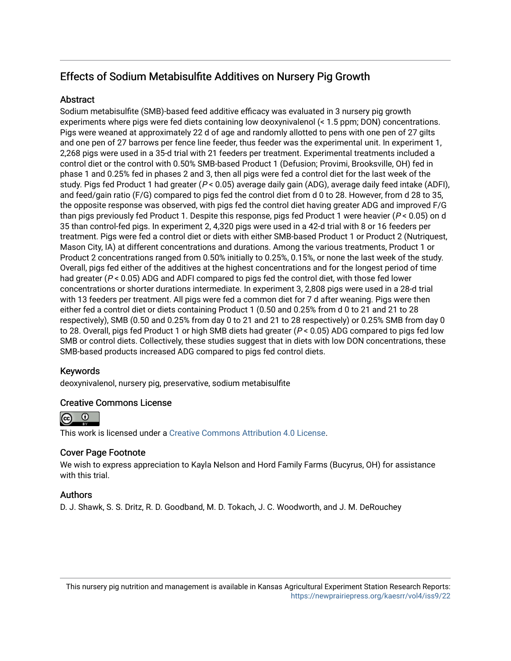## Effects of Sodium Metabisulfite Additives on Nursery Pig Growth

## **Abstract**

Sodium metabisulfite (SMB)-based feed additive efficacy was evaluated in 3 nursery pig growth experiments where pigs were fed diets containing low deoxynivalenol (< 1.5 ppm; DON) concentrations. Pigs were weaned at approximately 22 d of age and randomly allotted to pens with one pen of 27 gilts and one pen of 27 barrows per fence line feeder, thus feeder was the experimental unit. In experiment 1, 2,268 pigs were used in a 35-d trial with 21 feeders per treatment. Experimental treatments included a control diet or the control with 0.50% SMB-based Product 1 (Defusion; Provimi, Brooksville, OH) fed in phase 1 and 0.25% fed in phases 2 and 3, then all pigs were fed a control diet for the last week of the study. Pigs fed Product 1 had greater ( $P < 0.05$ ) average daily gain (ADG), average daily feed intake (ADFI), and feed/gain ratio (F/G) compared to pigs fed the control diet from d 0 to 28. However, from d 28 to 35, the opposite response was observed, with pigs fed the control diet having greater ADG and improved F/G than pigs previously fed Product 1. Despite this response, pigs fed Product 1 were heavier ( $P < 0.05$ ) on d 35 than control-fed pigs. In experiment 2, 4,320 pigs were used in a 42-d trial with 8 or 16 feeders per treatment. Pigs were fed a control diet or diets with either SMB-based Product 1 or Product 2 (Nutriquest, Mason City, IA) at different concentrations and durations. Among the various treatments, Product 1 or Product 2 concentrations ranged from 0.50% initially to 0.25%, 0.15%, or none the last week of the study. Overall, pigs fed either of the additives at the highest concentrations and for the longest period of time had greater ( $P < 0.05$ ) ADG and ADFI compared to pigs fed the control diet, with those fed lower concentrations or shorter durations intermediate. In experiment 3, 2,808 pigs were used in a 28-d trial with 13 feeders per treatment. All pigs were fed a common diet for 7 d after weaning. Pigs were then either fed a control diet or diets containing Product 1 (0.50 and 0.25% from d 0 to 21 and 21 to 28 respectively), SMB (0.50 and 0.25% from day 0 to 21 and 21 to 28 respectively) or 0.25% SMB from day 0 to 28. Overall, pigs fed Product 1 or high SMB diets had greater (P < 0.05) ADG compared to pigs fed low SMB or control diets. Collectively, these studies suggest that in diets with low DON concentrations, these SMB-based products increased ADG compared to pigs fed control diets.

## Keywords

deoxynivalenol, nursery pig, preservative, sodium metabisulfite

## Creative Commons License



This work is licensed under a [Creative Commons Attribution 4.0 License](https://creativecommons.org/licenses/by/4.0/).

## Cover Page Footnote

We wish to express appreciation to Kayla Nelson and Hord Family Farms (Bucyrus, OH) for assistance with this trial.

## Authors

D. J. Shawk, S. S. Dritz, R. D. Goodband, M. D. Tokach, J. C. Woodworth, and J. M. DeRouchey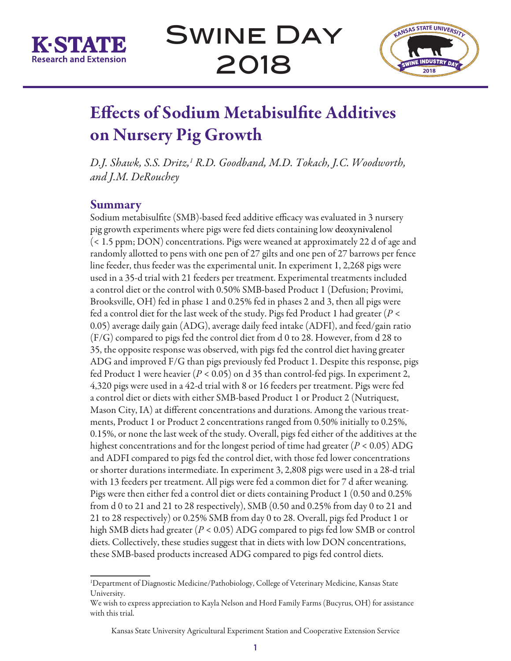



# Effects of Sodium Metabisulfite Additives on Nursery Pig Growth

*D.J. Shawk, S.S. Dritz,1 R.D. Goodband, M.D. Tokach, J.C. Woodworth, and J.M. DeRouchey*

## Summary

Sodium metabisulfite (SMB)-based feed additive efficacy was evaluated in 3 nursery pig growth experiments where pigs were fed diets containing low deoxynivalenol (< 1.5 ppm; DON) concentrations. Pigs were weaned at approximately 22 d of age and randomly allotted to pens with one pen of 27 gilts and one pen of 27 barrows per fence line feeder, thus feeder was the experimental unit. In experiment 1, 2,268 pigs were used in a 35-d trial with 21 feeders per treatment. Experimental treatments included a control diet or the control with 0.50% SMB-based Product 1 (Defusion; Provimi, Brooksville, OH) fed in phase 1 and 0.25% fed in phases 2 and 3, then all pigs were fed a control diet for the last week of the study. Pigs fed Product 1 had greater (*P* < 0.05) average daily gain (ADG), average daily feed intake (ADFI), and feed/gain ratio (F/G) compared to pigs fed the control diet from d 0 to 28. However, from d 28 to 35, the opposite response was observed, with pigs fed the control diet having greater ADG and improved F/G than pigs previously fed Product 1. Despite this response, pigs fed Product 1 were heavier (*P* < 0.05) on d 35 than control-fed pigs. In experiment 2, 4,320 pigs were used in a 42-d trial with 8 or 16 feeders per treatment. Pigs were fed a control diet or diets with either SMB-based Product 1 or Product 2 (Nutriquest, Mason City, IA) at different concentrations and durations. Among the various treatments, Product 1 or Product 2 concentrations ranged from 0.50% initially to 0.25%, 0.15%, or none the last week of the study. Overall, pigs fed either of the additives at the highest concentrations and for the longest period of time had greater (*P* < 0.05) ADG and ADFI compared to pigs fed the control diet, with those fed lower concentrations or shorter durations intermediate. In experiment 3, 2,808 pigs were used in a 28-d trial with 13 feeders per treatment. All pigs were fed a common diet for 7 d after weaning. Pigs were then either fed a control diet or diets containing Product 1 (0.50 and 0.25% from d 0 to 21 and 21 to 28 respectively), SMB (0.50 and 0.25% from day 0 to 21 and 21 to 28 respectively) or 0.25% SMB from day 0 to 28. Overall, pigs fed Product 1 or high SMB diets had greater (*P* < 0.05) ADG compared to pigs fed low SMB or control diets. Collectively, these studies suggest that in diets with low DON concentrations, these SMB-based products increased ADG compared to pigs fed control diets.

<sup>1</sup> Department of Diagnostic Medicine/Pathobiology, College of Veterinary Medicine, Kansas State University.

We wish to express appreciation to Kayla Nelson and Hord Family Farms (Bucyrus, OH) for assistance with this trial.

Kansas State University Agricultural Experiment Station and Cooperative Extension Service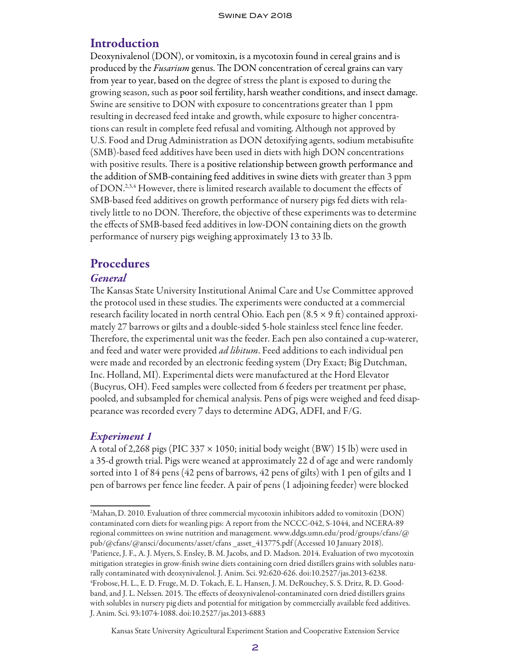## **Introduction**

Deoxynivalenol (DON), or vomitoxin, is a mycotoxin found in cereal grains and is produced by the *Fusarium* genus. The DON concentration of cereal grains can vary from year to year, based on the degree of stress the plant is exposed to during the growing season, such as poor soil fertility, harsh weather conditions, and insect damage. Swine are sensitive to DON with exposure to concentrations greater than 1 ppm resulting in decreased feed intake and growth, while exposure to higher concentrations can result in complete feed refusal and vomiting. Although not approved by U.S. Food and Drug Administration as DON detoxifying agents, sodium metabisufite (SMB)-based feed additives have been used in diets with high DON concentrations with positive results. There is a positive relationship between growth performance and the addition of SMB-containing feed additives in swine diets with greater than 3 ppm of DON.2,3,4 However, there is limited research available to document the effects of SMB-based feed additives on growth performance of nursery pigs fed diets with relatively little to no DON. Therefore, the objective of these experiments was to determine the effects of SMB-based feed additives in low-DON containing diets on the growth performance of nursery pigs weighing approximately 13 to 33 lb.

## Procedures

## *General*

The Kansas State University Institutional Animal Care and Use Committee approved the protocol used in these studies. The experiments were conducted at a commercial research facility located in north central Ohio. Each pen  $(8.5 \times 9 \text{ ft})$  contained approximately 27 barrows or gilts and a double-sided 5-hole stainless steel fence line feeder. Therefore, the experimental unit was the feeder. Each pen also contained a cup-waterer, and feed and water were provided *ad libitum*. Feed additions to each individual pen were made and recorded by an electronic feeding system (Dry Exact; Big Dutchman, Inc. Holland, MI). Experimental diets were manufactured at the Hord Elevator (Bucyrus, OH). Feed samples were collected from 6 feeders per treatment per phase, pooled, and subsampled for chemical analysis. Pens of pigs were weighed and feed disappearance was recorded every 7 days to determine ADG, ADFI, and F/G.

## *Experiment 1*

A total of 2,268 pigs (PIC 337  $\times$  1050; initial body weight (BW) 15 lb) were used in a 35-d growth trial. Pigs were weaned at approximately 22 d of age and were randomly sorted into 1 of 84 pens (42 pens of barrows, 42 pens of gilts) with 1 pen of gilts and 1 pen of barrows per fence line feeder. A pair of pens (1 adjoining feeder) were blocked

Kansas State University Agricultural Experiment Station and Cooperative Extension Service

<sup>2</sup> Mahan,D. 2010. Evaluation of three commercial mycotoxin inhibitors added to vomitoxin (DON) contaminated corn diets for weanling pigs: A report from the NCCC-042, S-1044, and NCERA-89 regional committees on swine nutrition and management. www.ddgs.umn.edu/prod/groups/cfans/@ pub/@cfans/@ansci/documents/asset/cfans \_asset\_413775.pdf (Accessed 10 January 2018). 3 Patience, J. F., A. J. Myers, S. Ensley, B. M. Jacobs, and D. Madson. 2014. Evaluation of two mycotoxin mitigation strategies in grow-finish swine diets containing corn dried distillers grains with solubles naturally contaminated with deoxynivalenol. J. Anim. Sci. 92:620-626. doi:10.2527/jas.2013-6238. 4 Frobose,H. L., E. D. Fruge, M. D. Tokach, E. L. Hansen, J. M. DeRouchey, S. S. Dritz, R. D. Goodband, and J. L. Nelssen. 2015. The effects of deoxynivalenol-contaminated corn dried distillers grains with solubles in nursery pig diets and potential for mitigation by commercially available feed additives. J. Anim. Sci. 93:1074-1088. doi:10.2527/jas.2013-6883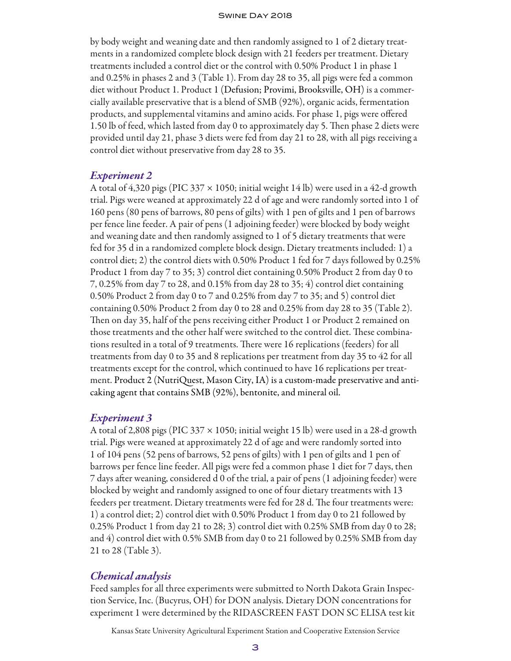by body weight and weaning date and then randomly assigned to 1 of 2 dietary treatments in a randomized complete block design with 21 feeders per treatment. Dietary treatments included a control diet or the control with 0.50% Product 1 in phase 1 and 0.25% in phases 2 and 3 (Table 1). From day 28 to 35, all pigs were fed a common diet without Product 1. Product 1 (Defusion; Provimi, Brooksville, OH) is a commercially available preservative that is a blend of SMB (92%), organic acids, fermentation products, and supplemental vitamins and amino acids. For phase 1, pigs were offered 1.50 lb of feed, which lasted from day 0 to approximately day 5. Then phase 2 diets were provided until day 21, phase 3 diets were fed from day 21 to 28, with all pigs receiving a control diet without preservative from day 28 to 35.

#### *Experiment 2*

A total of 4,320 pigs (PIC 337  $\times$  1050; initial weight 14 lb) were used in a 42-d growth trial. Pigs were weaned at approximately 22 d of age and were randomly sorted into 1 of 160 pens (80 pens of barrows, 80 pens of gilts) with 1 pen of gilts and 1 pen of barrows per fence line feeder. A pair of pens (1 adjoining feeder) were blocked by body weight and weaning date and then randomly assigned to 1 of 5 dietary treatments that were fed for 35 d in a randomized complete block design. Dietary treatments included: 1) a control diet; 2) the control diets with 0.50% Product 1 fed for 7 days followed by 0.25% Product 1 from day 7 to 35; 3) control diet containing 0.50% Product 2 from day 0 to 7, 0.25% from day 7 to 28, and 0.15% from day 28 to 35; 4) control diet containing 0.50% Product 2 from day 0 to 7 and 0.25% from day 7 to 35; and 5) control diet containing 0.50% Product 2 from day 0 to 28 and 0.25% from day 28 to 35 (Table 2). Then on day 35, half of the pens receiving either Product 1 or Product 2 remained on those treatments and the other half were switched to the control diet. These combinations resulted in a total of 9 treatments. There were 16 replications (feeders) for all treatments from day 0 to 35 and 8 replications per treatment from day 35 to 42 for all treatments except for the control, which continued to have 16 replications per treatment. Product 2 (NutriQuest, Mason City, IA) is a custom-made preservative and anticaking agent that contains SMB (92%), bentonite, and mineral oil.

#### *Experiment 3*

A total of 2,808 pigs (PIC 337  $\times$  1050; initial weight 15 lb) were used in a 28-d growth trial. Pigs were weaned at approximately 22 d of age and were randomly sorted into 1 of 104 pens (52 pens of barrows, 52 pens of gilts) with 1 pen of gilts and 1 pen of barrows per fence line feeder. All pigs were fed a common phase 1 diet for 7 days, then 7 days after weaning, considered d 0 of the trial, a pair of pens (1 adjoining feeder) were blocked by weight and randomly assigned to one of four dietary treatments with 13 feeders per treatment. Dietary treatments were fed for 28 d. The four treatments were: 1) a control diet; 2) control diet with 0.50% Product 1 from day 0 to 21 followed by 0.25% Product 1 from day 21 to 28; 3) control diet with 0.25% SMB from day 0 to 28; and 4) control diet with 0.5% SMB from day 0 to 21 followed by 0.25% SMB from day 21 to 28 (Table 3).

#### *Chemical analysis*

Feed samples for all three experiments were submitted to North Dakota Grain Inspection Service, Inc. (Bucyrus, OH) for DON analysis. Dietary DON concentrations for experiment 1 were determined by the RIDASCREEN FAST DON SC ELISA test kit

Kansas State University Agricultural Experiment Station and Cooperative Extension Service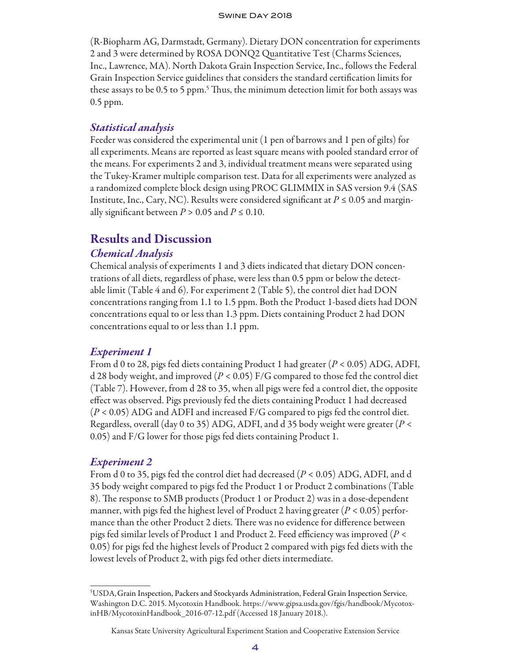(R-Biopharm AG, Darmstadt, Germany). Dietary DON concentration for experiments 2 and 3 were determined by ROSA DONQ2 Quantitative Test (Charms Sciences, Inc., Lawrence, MA). North Dakota Grain Inspection Service, Inc., follows the Federal Grain Inspection Service guidelines that considers the standard certification limits for these assays to be 0.5 to 5 ppm.<sup>5</sup> Thus, the minimum detection limit for both assays was 0.5 ppm.

## *Statistical analysis*

Feeder was considered the experimental unit (1 pen of barrows and 1 pen of gilts) for all experiments. Means are reported as least square means with pooled standard error of the means. For experiments 2 and 3, individual treatment means were separated using the Tukey-Kramer multiple comparison test. Data for all experiments were analyzed as a randomized complete block design using PROC GLIMMIX in SAS version 9.4 (SAS Institute, Inc., Cary, NC). Results were considered significant at  $P \le 0.05$  and marginally significant between  $P > 0.05$  and  $P \le 0.10$ .

## Results and Discussion

## *Chemical Analysis*

Chemical analysis of experiments 1 and 3 diets indicated that dietary DON concentrations of all diets, regardless of phase, were less than 0.5 ppm or below the detectable limit (Table 4 and 6). For experiment 2 (Table 5), the control diet had DON concentrations ranging from 1.1 to 1.5 ppm. Both the Product 1-based diets had DON concentrations equal to or less than 1.3 ppm. Diets containing Product 2 had DON concentrations equal to or less than 1.1 ppm.

## *Experiment 1*

From d 0 to 28, pigs fed diets containing Product 1 had greater (*P* < 0.05) ADG, ADFI, d 28 body weight, and improved (*P* < 0.05) F/G compared to those fed the control diet (Table 7). However, from d 28 to 35, when all pigs were fed a control diet, the opposite effect was observed. Pigs previously fed the diets containing Product 1 had decreased (*P* < 0.05) ADG and ADFI and increased F/G compared to pigs fed the control diet. Regardless, overall (day 0 to 35) ADG, ADFI, and d 35 body weight were greater (*P* < 0.05) and F/G lower for those pigs fed diets containing Product 1.

## *Experiment 2*

From d 0 to 35, pigs fed the control diet had decreased (*P* < 0.05) ADG, ADFI, and d 35 body weight compared to pigs fed the Product 1 or Product 2 combinations (Table 8). The response to SMB products (Product 1 or Product 2) was in a dose-dependent manner, with pigs fed the highest level of Product 2 having greater (*P* < 0.05) performance than the other Product 2 diets. There was no evidence for difference between pigs fed similar levels of Product 1 and Product 2. Feed efficiency was improved (*P* < 0.05) for pigs fed the highest levels of Product 2 compared with pigs fed diets with the lowest levels of Product 2, with pigs fed other diets intermediate.

<sup>5</sup> USDA,Grain Inspection, Packers and Stockyards Administration, Federal Grain Inspection Service, Washington D.C. 2015. Mycotoxin Handbook. https://www.gipsa.usda.gov/fgis/handbook/MycotoxinHB/MycotoxinHandbook\_2016-07-12.pdf (Accessed 18 January 2018.).

Kansas State University Agricultural Experiment Station and Cooperative Extension Service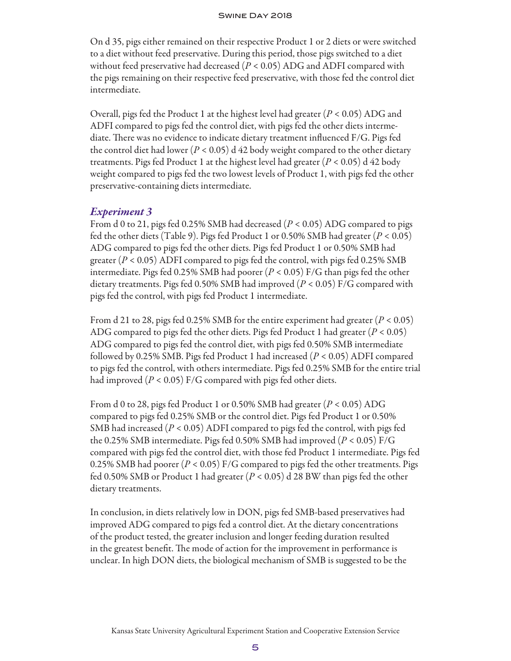On d 35, pigs either remained on their respective Product 1 or 2 diets or were switched to a diet without feed preservative. During this period, those pigs switched to a diet without feed preservative had decreased (*P* < 0.05) ADG and ADFI compared with the pigs remaining on their respective feed preservative, with those fed the control diet intermediate.

Overall, pigs fed the Product 1 at the highest level had greater (*P* < 0.05) ADG and ADFI compared to pigs fed the control diet, with pigs fed the other diets intermediate. There was no evidence to indicate dietary treatment influenced F/G. Pigs fed the control diet had lower ( $P < 0.05$ ) d 42 body weight compared to the other dietary treatments. Pigs fed Product 1 at the highest level had greater (*P* < 0.05) d 42 body weight compared to pigs fed the two lowest levels of Product 1, with pigs fed the other preservative-containing diets intermediate.

## *Experiment 3*

From d 0 to 21, pigs fed 0.25% SMB had decreased (*P* < 0.05) ADG compared to pigs fed the other diets (Table 9). Pigs fed Product 1 or 0.50% SMB had greater (*P* < 0.05) ADG compared to pigs fed the other diets. Pigs fed Product 1 or 0.50% SMB had greater  $(P < 0.05)$  ADFI compared to pigs fed the control, with pigs fed 0.25% SMB intermediate. Pigs fed 0.25% SMB had poorer (*P* < 0.05) F/G than pigs fed the other dietary treatments. Pigs fed 0.50% SMB had improved (*P* < 0.05) F/G compared with pigs fed the control, with pigs fed Product 1 intermediate.

From d 21 to 28, pigs fed 0.25% SMB for the entire experiment had greater (*P* < 0.05) ADG compared to pigs fed the other diets. Pigs fed Product 1 had greater (*P* < 0.05) ADG compared to pigs fed the control diet, with pigs fed 0.50% SMB intermediate followed by 0.25% SMB. Pigs fed Product 1 had increased (*P* < 0.05) ADFI compared to pigs fed the control, with others intermediate. Pigs fed 0.25% SMB for the entire trial had improved  $(P < 0.05)$  F/G compared with pigs fed other diets.

From d 0 to 28, pigs fed Product 1 or 0.50% SMB had greater (*P* < 0.05) ADG compared to pigs fed 0.25% SMB or the control diet. Pigs fed Product 1 or 0.50% SMB had increased (*P* < 0.05) ADFI compared to pigs fed the control, with pigs fed the 0.25% SMB intermediate. Pigs fed 0.50% SMB had improved (*P* < 0.05) F/G compared with pigs fed the control diet, with those fed Product 1 intermediate. Pigs fed 0.25% SMB had poorer (*P* < 0.05) F/G compared to pigs fed the other treatments. Pigs fed 0.50% SMB or Product 1 had greater (*P* < 0.05) d 28 BW than pigs fed the other dietary treatments.

In conclusion, in diets relatively low in DON, pigs fed SMB-based preservatives had improved ADG compared to pigs fed a control diet. At the dietary concentrations of the product tested, the greater inclusion and longer feeding duration resulted in the greatest benefit. The mode of action for the improvement in performance is unclear. In high DON diets, the biological mechanism of SMB is suggested to be the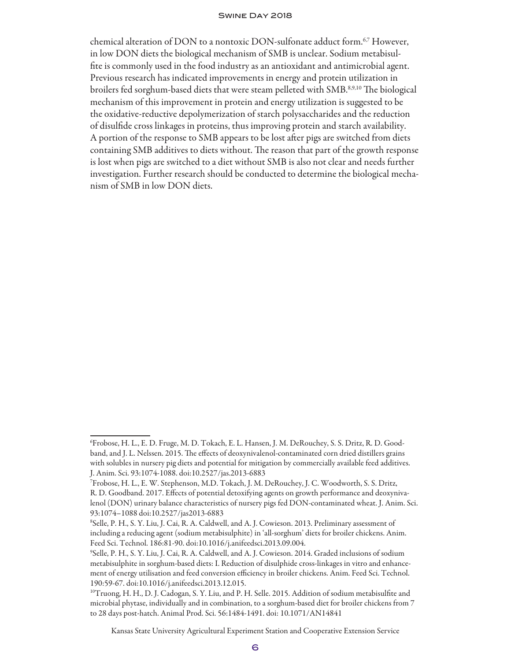chemical alteration of DON to a nontoxic DON-sulfonate adduct form.<sup>6,7</sup> However, in low DON diets the biological mechanism of SMB is unclear. Sodium metabisulfite is commonly used in the food industry as an antioxidant and antimicrobial agent. Previous research has indicated improvements in energy and protein utilization in broilers fed sorghum-based diets that were steam pelleted with SMB.<sup>8,9,10</sup> The biological mechanism of this improvement in protein and energy utilization is suggested to be the oxidative-reductive depolymerization of starch polysaccharides and the reduction of disulfide cross linkages in proteins, thus improving protein and starch availability. A portion of the response to SMB appears to be lost after pigs are switched from diets containing SMB additives to diets without. The reason that part of the growth response is lost when pigs are switched to a diet without SMB is also not clear and needs further investigation. Further research should be conducted to determine the biological mechanism of SMB in low DON diets.

Kansas State University Agricultural Experiment Station and Cooperative Extension Service

<sup>6</sup> Frobose, H. L., E. D. Fruge, M. D. Tokach, E. L. Hansen, J. M. DeRouchey, S. S. Dritz, R. D. Goodband, and J. L. Nelssen. 2015. The effects of deoxynivalenol-contaminated corn dried distillers grains with solubles in nursery pig diets and potential for mitigation by commercially available feed additives. J. Anim. Sci. 93:1074-1088. doi:10.2527/jas.2013-6883

<sup>7</sup> Frobose, H. L., E. W. Stephenson, M.D. Tokach, J. M. DeRouchey, J. C. Woodworth, S. S. Dritz, R. D. Goodband. 2017. Effects of potential detoxifying agents on growth performance and deoxynivalenol (DON) urinary balance characteristics of nursery pigs fed DON-contaminated wheat. J. Anim. Sci. 93:1074–1088 doi:10.2527/jas2013-6883

<sup>8</sup> Selle, P. H., S. Y. Liu, J. Cai, R. A. Caldwell, and A. J. Cowieson. 2013. Preliminary assessment of including a reducing agent (sodium metabisulphite) in 'all-sorghum' diets for broiler chickens. Anim. Feed Sci. Technol. 186:81-90. doi:10.1016/j.anifeedsci.2013.09.004.

<sup>9</sup> Selle, P. H., S. Y. Liu, J. Cai, R. A. Caldwell, and A. J. Cowieson. 2014. Graded inclusions of sodium metabisulphite in sorghum-based diets: I. Reduction of disulphide cross-linkages in vitro and enhancement of energy utilisation and feed conversion efficiency in broiler chickens. Anim. Feed Sci. Technol. 190:59-67. doi:10.1016/j.anifeedsci.2013.12.015.

<sup>10</sup>Truong, H. H., D. J. Cadogan, S. Y. Liu, and P. H. Selle. 2015. Addition of sodium metabisulfite and microbial phytase, individually and in combination, to a sorghum-based diet for broiler chickens from 7 to 28 days post-hatch. Animal Prod. Sci. 56:1484-1491. doi: 10.1071/AN14841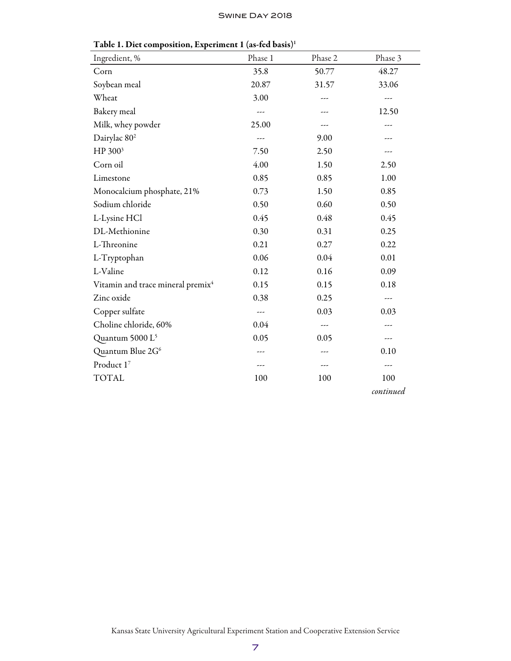| Ingredient, %                                 | Phase 1 | Phase 2 | Phase 3   |
|-----------------------------------------------|---------|---------|-----------|
| Corn                                          | 35.8    | 50.77   | 48.27     |
| Soybean meal                                  | 20.87   | 31.57   | 33.06     |
| Wheat                                         | 3.00    | ---     | $---$     |
| Bakery meal                                   |         |         | 12.50     |
| Milk, whey powder                             | 25.00   | ---     | ---       |
| Dairylac 80 <sup>2</sup>                      |         | 9.00    |           |
| HP 300 <sup>3</sup>                           | 7.50    | 2.50    | ---       |
| Corn oil                                      | 4.00    | 1.50    | 2.50      |
| Limestone                                     | 0.85    | 0.85    | 1.00      |
| Monocalcium phosphate, 21%                    | 0.73    | 1.50    | 0.85      |
| Sodium chloride                               | 0.50    | 0.60    | 0.50      |
| L-Lysine HCl                                  | 0.45    | 0.48    | 0.45      |
| DL-Methionine                                 | 0.30    | 0.31    | 0.25      |
| L-Threonine                                   | 0.21    | 0.27    | 0.22      |
| L-Tryptophan                                  | 0.06    | 0.04    | 0.01      |
| L-Valine                                      | 0.12    | 0.16    | 0.09      |
| Vitamin and trace mineral premix <sup>4</sup> | 0.15    | 0.15    | 0.18      |
| Zinc oxide                                    | 0.38    | 0.25    | ---       |
| Copper sulfate                                | ---     | 0.03    | 0.03      |
| Choline chloride, 60%                         | 0.04    | ---     |           |
| Quantum 5000 L <sup>5</sup>                   | 0.05    | 0.05    | ---       |
| Quantum Blue 2G <sup>6</sup>                  |         | ---     | 0.10      |
| Product 17                                    | ---     | ---     | ---       |
| <b>TOTAL</b>                                  | 100     | 100     | 100       |
|                                               |         |         | continued |

Table 1. Diet composition, Experiment 1 (as-fed basis)<sup>1</sup>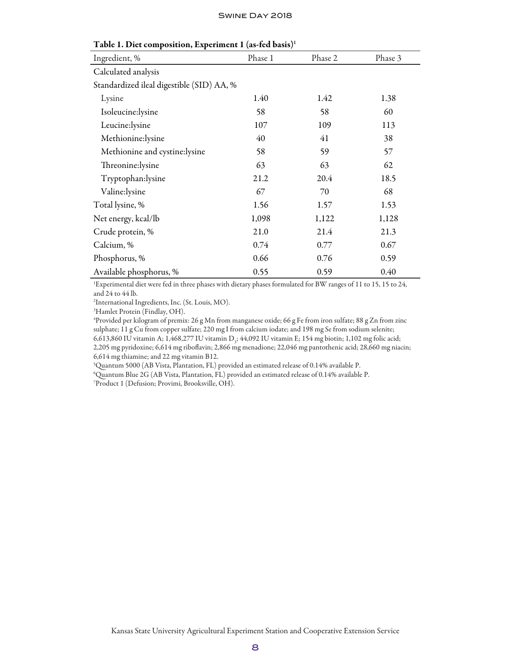| <b>Table 1. Diet composition, Experiment 1 (as-fed basis)</b> |         |         |         |  |
|---------------------------------------------------------------|---------|---------|---------|--|
| Ingredient, %                                                 | Phase 1 | Phase 2 | Phase 3 |  |
| Calculated analysis                                           |         |         |         |  |
| Standardized ileal digestible (SID) AA, %                     |         |         |         |  |
| Lysine                                                        | 1.40    | 1.42    | 1.38    |  |
| Isoleucine:lysine                                             | 58      | 58      | 60      |  |
| Leucine:lysine                                                | 107     | 109     | 113     |  |
| Methionine:lysine                                             | 40      | 41      | 38      |  |
| Methionine and cystine:lysine                                 | 58      | 59      | 57      |  |
| Threonine:lysine                                              | 63      | 63      | 62      |  |
| Tryptophan:lysine                                             | 21.2    | 20.4    | 18.5    |  |
| Valine:lysine                                                 | 67      | 70      | 68      |  |
| Total lysine, %                                               | 1.56    | 1.57    | 1.53    |  |
| Net energy, kcal/lb                                           | 1,098   | 1,122   | 1,128   |  |
| Crude protein, %                                              | 21.0    | 21.4    | 21.3    |  |
| Calcium, %                                                    | 0.74    | 0.77    | 0.67    |  |
| Phosphorus, %                                                 | 0.66    | 0.76    | 0.59    |  |
| Available phosphorus, %                                       | 0.55    | 0.59    | 0.40    |  |

| Table 1. Diet composition, Experiment 1 (as-fed basis) <sup>1</sup> |         |         |
|---------------------------------------------------------------------|---------|---------|
| Ingredient, %                                                       | Phase 1 | Phase 2 |

1 Experimental diet were fed in three phases with dietary phases formulated for BW ranges of 11 to 15, 15 to 24, and 24 to 44 lb.

2 International Ingredients, Inc. (St. Louis, MO).

3 Hamlet Protein (Findlay, OH).

4 Provided per kilogram of premix: 26 g Mn from manganese oxide; 66 g Fe from iron sulfate; 88 g Zn from zinc sulphate; 11 g Cu from copper sulfate; 220 mg I from calcium iodate; and 198 mg Se from sodium selenite; 6,613,860 IU vitamin A; 1,468,277 IU vitamin D<sub>3</sub>; 44,092 IU vitamin E; 154 mg biotin; 1,102 mg folic acid; 2,205 mg pyridoxine; 6,614 mg riboflavin; 2,866 mg menadione; 22,046 mg pantothenic acid; 28,660 mg niacin; 6,614 mg thiamine; and 22 mg vitamin B12.

5 Quantum 5000 (AB Vista, Plantation, FL) provided an estimated release of 0.14% available P.

6 Quantum Blue 2G (AB Vista, Plantation, FL) provided an estimated release of 0.14% available P.

7 Product 1 (Defusion; Provimi, Brooksville, OH).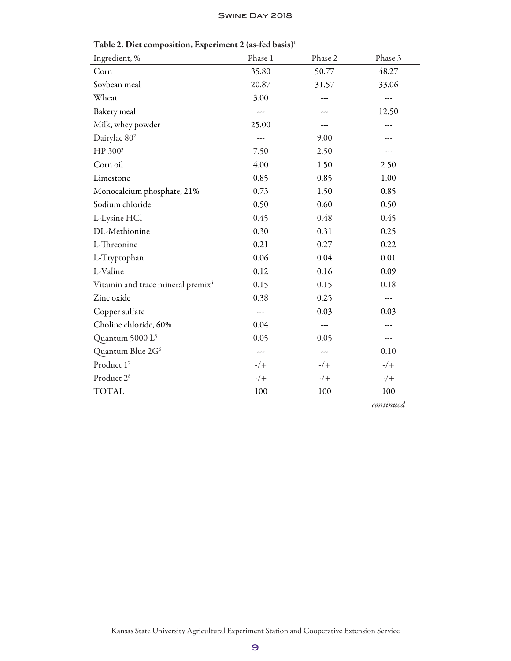| Ingredient, %                                 | Phase 1 | Phase 2 | Phase 3   |
|-----------------------------------------------|---------|---------|-----------|
| Corn                                          | 35.80   | 50.77   | 48.27     |
| Soybean meal                                  | 20.87   | 31.57   | 33.06     |
| Wheat                                         | 3.00    | ---     | ---       |
| Bakery meal                                   | ---     |         | 12.50     |
| Milk, whey powder                             | 25.00   | ---     | ---       |
| Dairylac 80 <sup>2</sup>                      | $---$   | 9.00    | ---       |
| HP 300 <sup>3</sup>                           | 7.50    | 2.50    | ---       |
| Corn oil                                      | 4.00    | 1.50    | 2.50      |
| Limestone                                     | 0.85    | 0.85    | 1.00      |
| Monocalcium phosphate, 21%                    | 0.73    | 1.50    | 0.85      |
| Sodium chloride                               | 0.50    | 0.60    | 0.50      |
| L-Lysine HCl                                  | 0.45    | 0.48    | 0.45      |
| DL-Methionine                                 | 0.30    | 0.31    | 0.25      |
| L-Threonine                                   | 0.21    | 0.27    | 0.22      |
| L-Tryptophan                                  | 0.06    | 0.04    | 0.01      |
| L-Valine                                      | 0.12    | 0.16    | 0.09      |
| Vitamin and trace mineral premix <sup>4</sup> | 0.15    | 0.15    | 0.18      |
| Zinc oxide                                    | 0.38    | 0.25    | ---       |
| Copper sulfate                                | ---     | 0.03    | 0.03      |
| Choline chloride, 60%                         | 0.04    | ---     | ---       |
| Quantum 5000 L <sup>5</sup>                   | 0.05    | 0.05    | ---       |
| Quantum Blue 2G <sup>6</sup>                  | $---$   | $---$   | 0.10      |
| Product 17                                    | $-/+$   | $-/+$   | $-/+$     |
| Product 2 <sup>8</sup>                        | $-/+$   | $-/+$   | $-/+$     |
| <b>TOTAL</b>                                  | 100     | 100     | 100       |
|                                               |         |         | continued |

Table 2. Diet composition, Experiment 2 (as-fed basis)<sup>1</sup>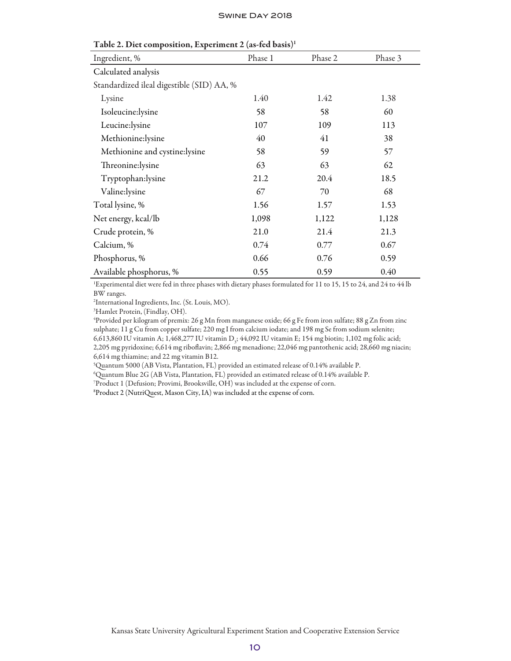| 1 able 2. Diet composition, Experiment 2 (as-fed basis) <sup>1</sup> |         |         |         |  |
|----------------------------------------------------------------------|---------|---------|---------|--|
| Ingredient, %                                                        | Phase 1 | Phase 2 | Phase 3 |  |
| Calculated analysis                                                  |         |         |         |  |
| Standardized ileal digestible (SID) AA, %                            |         |         |         |  |
| Lysine                                                               | 1.40    | 1.42    | 1.38    |  |
| Isoleucine:lysine                                                    | 58      | 58      | 60      |  |
| Leucine:lysine                                                       | 107     | 109     | 113     |  |
| Methionine:lysine                                                    | 40      | 41      | 38      |  |
| Methionine and cystine:lysine                                        | 58      | 59      | 57      |  |
| Threonine:lysine                                                     | 63      | 63      | 62      |  |
| Tryptophan:lysine                                                    | 21.2    | 20.4    | 18.5    |  |
| Valine:lysine                                                        | 67      | 70      | 68      |  |
| Total lysine, %                                                      | 1.56    | 1.57    | 1.53    |  |
| Net energy, kcal/lb                                                  | 1,098   | 1,122   | 1,128   |  |
| Crude protein, %                                                     | 21.0    | 21.4    | 21.3    |  |
| Calcium, %                                                           | 0.74    | 0.77    | 0.67    |  |
| Phosphorus, %                                                        | 0.66    | 0.76    | 0.59    |  |
| Available phosphorus, %                                              | 0.55    | 0.59    | 0.40    |  |

| Table 2. Diet composition, Experiment 2 (as-fed basis) <sup>1</sup> |  |  |
|---------------------------------------------------------------------|--|--|
|---------------------------------------------------------------------|--|--|

1 Experimental diet were fed in three phases with dietary phases formulated for 11 to 15, 15 to 24, and 24 to 44 lb BW ranges.

2 International Ingredients, Inc. (St. Louis, MO).

3 Hamlet Protein, (Findlay, OH).

4 Provided per kilogram of premix: 26 g Mn from manganese oxide; 66 g Fe from iron sulfate; 88 g Zn from zinc sulphate; 11 g Cu from copper sulfate; 220 mg I from calcium iodate; and 198 mg Se from sodium selenite; 6,613,860 IU vitamin A; 1,468,277 IU vitamin D<sub>3</sub>; 44,092 IU vitamin E; 154 mg biotin; 1,102 mg folic acid; 2,205 mg pyridoxine; 6,614 mg riboflavin; 2,866 mg menadione; 22,046 mg pantothenic acid; 28,660 mg niacin; 6,614 mg thiamine; and 22 mg vitamin B12.

5 Quantum 5000 (AB Vista, Plantation, FL) provided an estimated release of 0.14% available P.

6 Quantum Blue 2G (AB Vista, Plantation, FL) provided an estimated release of 0.14% available P.

7 Product 1 (Defusion; Provimi, Brooksville, OH) was included at the expense of corn.

8 Product 2 (NutriQuest, Mason City, IA) was included at the expense of corn.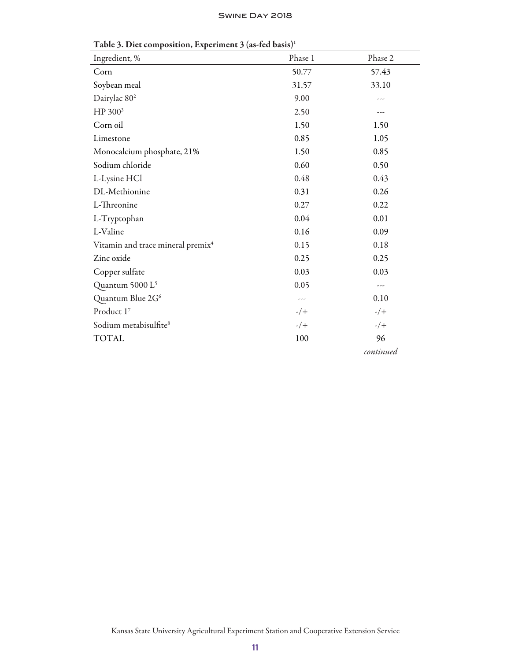| Ingredient, %                                 | Phase 1 | Phase 2   |
|-----------------------------------------------|---------|-----------|
| Corn                                          | 50.77   | 57.43     |
| Soybean meal                                  | 31.57   | 33.10     |
| Dairylac 80 <sup>2</sup>                      | 9.00    |           |
| HP 300 <sup>3</sup>                           | 2.50    |           |
| Corn oil                                      | 1.50    | 1.50      |
| Limestone                                     | 0.85    | 1.05      |
| Monocalcium phosphate, 21%                    | 1.50    | 0.85      |
| Sodium chloride                               | 0.60    | 0.50      |
| L-Lysine HCl                                  | 0.48    | 0.43      |
| DL-Methionine                                 | 0.31    | 0.26      |
| L-Threonine                                   | 0.27    | 0.22      |
| L-Tryptophan                                  | 0.04    | 0.01      |
| L-Valine                                      | 0.16    | 0.09      |
| Vitamin and trace mineral premix <sup>4</sup> | 0.15    | 0.18      |
| Zinc oxide                                    | 0.25    | 0.25      |
| Copper sulfate                                | 0.03    | 0.03      |
| Quantum 5000 L <sup>5</sup>                   | 0.05    | ---       |
| Quantum Blue 2G <sup>6</sup>                  |         | 0.10      |
| Product 17                                    | $-/+$   | $-/+$     |
| Sodium metabisulfite <sup>8</sup>             | $-/+$   | $-/+$     |
| <b>TOTAL</b>                                  | 100     | 96        |
|                                               |         | continued |

Table 3. Diet composition, Experiment 3 (as-fed basis)<sup>1</sup>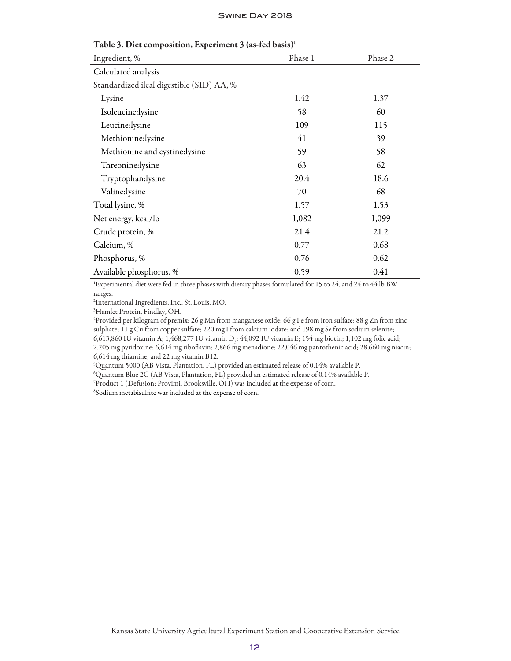| Table 3. Dict composition, Experiment 3 (as-icu basis) |         |         |  |  |
|--------------------------------------------------------|---------|---------|--|--|
| Ingredient, %                                          | Phase 1 | Phase 2 |  |  |
| Calculated analysis                                    |         |         |  |  |
| Standardized ileal digestible (SID) AA, %              |         |         |  |  |
| Lysine                                                 | 1.42    | 1.37    |  |  |
| Isoleucine:lysine                                      | 58      | 60      |  |  |
| Leucine: lysine                                        | 109     | 115     |  |  |
| Methionine:lysine                                      | 41      | 39      |  |  |
| Methionine and cystine:lysine                          | 59      | 58      |  |  |
| Threonine: lysine                                      | 63      | 62      |  |  |
| Tryptophan:lysine                                      | 20.4    | 18.6    |  |  |
| Valine:lysine                                          | 70      | 68      |  |  |
| Total lysine, %                                        | 1.57    | 1.53    |  |  |
| Net energy, kcal/lb                                    | 1,082   | 1,099   |  |  |
| Crude protein, %                                       | 21.4    | 21.2    |  |  |
| Calcium, %                                             | 0.77    | 0.68    |  |  |
| Phosphorus, %                                          | 0.76    | 0.62    |  |  |
| Available phosphorus, %                                | 0.59    | 0.41    |  |  |

Table 3. Diet composition, Experiment 3 (as-fed basis)1

1 Experimental diet were fed in three phases with dietary phases formulated for 15 to 24, and 24 to 44 lb BW ranges.

2 International Ingredients, Inc., St. Louis, MO.

3 Hamlet Protein, Findlay, OH.

4 Provided per kilogram of premix: 26 g Mn from manganese oxide; 66 g Fe from iron sulfate; 88 g Zn from zinc sulphate; 11 g Cu from copper sulfate; 220 mg I from calcium iodate; and 198 mg Se from sodium selenite; 6,613,860 IU vitamin A; 1,468,277 IU vitamin D<sub>3</sub>; 44,092 IU vitamin E; 154 mg biotin; 1,102 mg folic acid; 2,205 mg pyridoxine; 6,614 mg riboflavin; 2,866 mg menadione; 22,046 mg pantothenic acid; 28,660 mg niacin; 6,614 mg thiamine; and 22 mg vitamin B12.

5 Quantum 5000 (AB Vista, Plantation, FL) provided an estimated release of 0.14% available P.

6 Quantum Blue 2G (AB Vista, Plantation, FL) provided an estimated release of 0.14% available P.

7 Product 1 (Defusion; Provimi, Brooksville, OH) was included at the expense of corn.

8 Sodium metabisulfite was included at the expense of corn.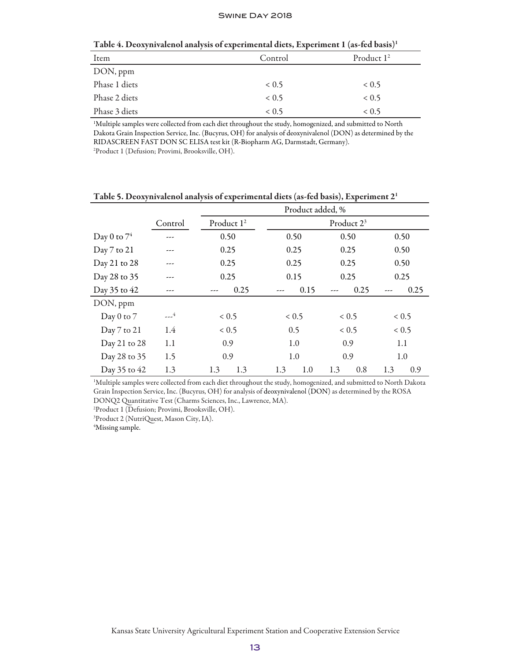| Item          | Control | Product $1^2$ |
|---------------|---------|---------------|
| DON, ppm      |         |               |
| Phase 1 diets | 0.5     | 0.5           |
| Phase 2 diets | 0.5     | 0.5           |
| Phase 3 diets | 0.5     | ${}< 0.5$     |

Table 4. Deoxynivalenol analysis of experimental diets, Experiment 1 (as-fed basis)1

1 Multiple samples were collected from each diet throughout the study, homogenized, and submitted to North Dakota Grain Inspection Service, Inc. (Bucyrus, OH) for analysis of deoxynivalenol (DON) as determined by the RIDASCREEN FAST DON SC ELISA test kit (R-Biopharm AG, Darmstadt, Germany). 2 Product 1 (Defusion; Provimi, Brooksville, OH).

|                |         | Product added, %       |            |                        |            |
|----------------|---------|------------------------|------------|------------------------|------------|
|                | Control | Product 1 <sup>2</sup> |            | Product 2 <sup>3</sup> |            |
| Day 0 to $7^4$ | ---     | 0.50                   | 0.50       | 0.50                   | 0.50       |
| Day 7 to 21    |         | 0.25                   | 0.25       | 0.25                   | 0.50       |
| Day 21 to 28   |         | 0.25                   | 0.25       | 0.25                   | 0.50       |
| Day 28 to 35   |         | 0.25                   | 0.15       | 0.25                   | 0.25       |
| Day 35 to 42   |         | 0.25                   | 0.15       | 0.25                   | 0.25       |
| DON, ppm       |         |                        |            |                        |            |
| Day 0 to 7     | $-2$    | 0.5                    | 0.5        | 0.5                    | 0.5        |
| Day 7 to 21    | 1.4     | 0.5                    | 0.5        | 0.5                    | 0.5        |
| Day 21 to 28   | 1.1     | 0.9                    | 1.0        | 0.9                    | 1.1        |
| Day 28 to 35   | 1.5     | 0.9                    | 1.0        | 0.9                    | 1.0        |
| Day 35 to 42   | 1.3     | 1.3<br>1.3             | 1.0<br>1.3 | 0.8<br>1.3             | 1.3<br>0.9 |

Table 5. Deoxynivalenol analysis of experimental diets (as-fed basis), Experiment 21

1 Multiple samples were collected from each diet throughout the study, homogenized, and submitted to North Dakota Grain Inspection Service, Inc. (Bucyrus, OH) for analysis of deoxynivalenol (DON) as determined by the ROSA DONQ2 Quantitative Test (Charms Sciences, Inc., Lawrence, MA).

2 Product 1 (Defusion; Provimi, Brooksville, OH).

3 Product 2 (NutriQuest, Mason City, IA).

4 Missing sample.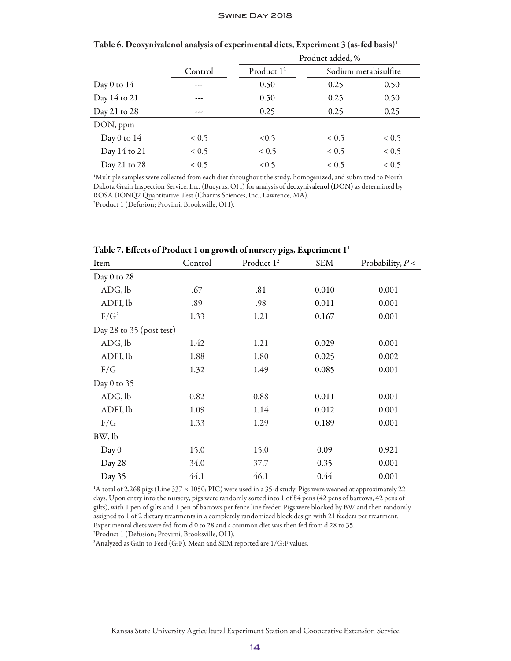|               |                    |                        | Product added, %     |                    |  |  |
|---------------|--------------------|------------------------|----------------------|--------------------|--|--|
|               | Control            | Product 1 <sup>2</sup> | Sodium metabisulfite |                    |  |  |
| Day 0 to $14$ | ---                | 0.50                   | 0.25                 | 0.50               |  |  |
| Day 14 to 21  | ---                | 0.50                   | 0.25                 | 0.50               |  |  |
| Day 21 to 28  | ---                | 0.25                   | 0.25                 | 0.25               |  |  |
| DON, ppm      |                    |                        |                      |                    |  |  |
| Day 0 to $14$ | 0.5 <sub>0.5</sub> | < 0.5                  | < 0.5                | 0.5 <sub>0.5</sub> |  |  |
| Day 14 to 21  | < 0.5              | 0.5                    | < 0.5                | 0.5                |  |  |
| Day 21 to 28  | 0.5                | <0.5                   | 0.5                  | 0.5                |  |  |

Table 6. Deoxynivalenol analysis of experimental diets, Experiment 3 (as-fed basis)1

1 Multiple samples were collected from each diet throughout the study, homogenized, and submitted to North Dakota Grain Inspection Service, Inc. (Bucyrus, OH) for analysis of deoxynivalenol (DON) as determined by ROSA DONQ2 Quantitative Test (Charms Sciences, Inc., Lawrence, MA).

2 Product 1 (Defusion; Provimi, Brooksville, OH).

|                          | Table 7. Effects of Product T on growth of hursely pigs, experiment T |                        |            |                    |  |  |  |  |  |
|--------------------------|-----------------------------------------------------------------------|------------------------|------------|--------------------|--|--|--|--|--|
| Item                     | Control                                                               | Product 1 <sup>2</sup> | <b>SEM</b> | Probability, $P <$ |  |  |  |  |  |
| Day 0 to 28              |                                                                       |                        |            |                    |  |  |  |  |  |
| ADG, lb                  | .67                                                                   | .81                    | 0.010      | 0.001              |  |  |  |  |  |
| ADFI, lb                 | .89                                                                   | .98                    | 0.011      | 0.001              |  |  |  |  |  |
| $F/G^3$                  | 1.33                                                                  | 1.21                   | 0.167      | 0.001              |  |  |  |  |  |
| Day 28 to 35 (post test) |                                                                       |                        |            |                    |  |  |  |  |  |
| ADG, lb                  | 1.42                                                                  | 1.21                   | 0.029      | 0.001              |  |  |  |  |  |
| ADFI, lb                 | 1.88                                                                  | 1.80                   | 0.025      | 0.002              |  |  |  |  |  |
| F/G                      | 1.32                                                                  | 1.49                   | 0.085      | 0.001              |  |  |  |  |  |
| Day 0 to $35$            |                                                                       |                        |            |                    |  |  |  |  |  |
| ADG, lb                  | 0.82                                                                  | 0.88                   | 0.011      | 0.001              |  |  |  |  |  |
| ADFI, lb                 | 1.09                                                                  | 1.14                   | 0.012      | 0.001              |  |  |  |  |  |
| F/G                      | 1.33                                                                  | 1.29                   | 0.189      | 0.001              |  |  |  |  |  |
| BW, lb                   |                                                                       |                        |            |                    |  |  |  |  |  |
| Day 0                    | 15.0                                                                  | 15.0                   | 0.09       | 0.921              |  |  |  |  |  |
| Day 28                   | 34.0                                                                  | 37.7                   | 0.35       | 0.001              |  |  |  |  |  |
| Day 35                   | 44.1                                                                  | 46.1                   | 0.44       | 0.001              |  |  |  |  |  |

Table 7. Effects of Product 1 on growth of nursery pigs, Experiment 11

1 A total of 2,268 pigs (Line 337 × 1050; PIC) were used in a 35-d study. Pigs were weaned at approximately 22 days. Upon entry into the nursery, pigs were randomly sorted into 1 of 84 pens (42 pens of barrows, 42 pens of gilts), with 1 pen of gilts and 1 pen of barrows per fence line feeder. Pigs were blocked by BW and then randomly assigned to 1 of 2 dietary treatments in a completely randomized block design with 21 feeders per treatment. Experimental diets were fed from d 0 to 28 and a common diet was then fed from d 28 to 35. 2 Product 1 (Defusion; Provimi, Brooksville, OH).

 $^3$ Analyzed as Gain to Feed (G:F). Mean and SEM reported are 1/G:F values.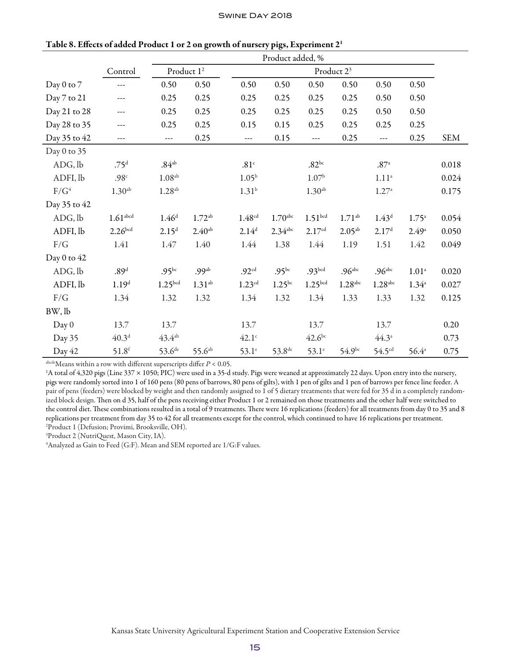|              |                      | Product added, %     |                        |                      |                       |                     |                        |                       |                |            |
|--------------|----------------------|----------------------|------------------------|----------------------|-----------------------|---------------------|------------------------|-----------------------|----------------|------------|
|              | Control              |                      | Product 1 <sup>2</sup> |                      |                       |                     | Product 2 <sup>3</sup> |                       |                |            |
| Day 0 to 7   | ---                  | 0.50                 | 0.50                   | 0.50                 | 0.50                  | 0.50                | 0.50                   | 0.50                  | 0.50           |            |
| Day 7 to 21  | ---                  | 0.25                 | 0.25                   | 0.25                 | 0.25                  | 0.25                | 0.25                   | 0.50                  | 0.50           |            |
| Day 21 to 28 | ---                  | 0.25                 | 0.25                   | 0.25                 | 0.25                  | 0.25                | 0.25                   | 0.50                  | 0.50           |            |
| Day 28 to 35 | ---                  | 0.25                 | 0.25                   | 0.15                 | 0.15                  | 0.25                | 0.25                   | 0.25                  | 0.25           |            |
| Day 35 to 42 | ---                  | ---                  | 0.25                   | ---                  | 0.15                  | ---                 | 0.25                   | ---                   | 0.25           | <b>SEM</b> |
| Day 0 to 35  |                      |                      |                        |                      |                       |                     |                        |                       |                |            |
| ADG, lb      | .75 <sup>d</sup>     | .84 <sup>ab</sup>    |                        | .81c                 |                       | $.82^{bc}$          |                        | .87 <sup>a</sup>      |                | 0.018      |
| ADFI, lb     | .98 <sup>c</sup>     | 1.08 <sup>ab</sup>   |                        | $1.05^{b}$           |                       | 1.07 <sup>b</sup>   |                        | $1.11^{\rm a}$        |                | 0.024      |
| $F/G^4$      | 1.30 <sup>ab</sup>   | $1.28$ <sup>ab</sup> |                        | $1.31^{b}$           |                       | 1.30 <sup>ab</sup>  |                        | $1.27^{\circ}$        |                | 0.175      |
| Day 35 to 42 |                      |                      |                        |                      |                       |                     |                        |                       |                |            |
| ADG, lb      | 1.61 <sup>abcd</sup> | 1.46 <sup>d</sup>    | $1.72^{ab}$            | 1.48 <sup>cd</sup>   | $1.70$ <sup>abc</sup> | 1.51 <sup>bcd</sup> | $1.71^{ab}$            | $1.43^d$              | $1.75^{\circ}$ | 0.054      |
| ADFI, lb     | 2.26 <sub>bcd</sub>  | 2.15 <sup>d</sup>    | $2.40^{ab}$            | 2.14 <sup>d</sup>    | $2.34$ <sup>abc</sup> | 2.17 <sup>cd</sup>  | $2.05^{ab}$            | 2.17 <sup>d</sup>     | $2.49^{\circ}$ | 0.050      |
| F/G          | 1.41                 | 1.47                 | 1.40                   | 1.44                 | 1.38                  | 1.44                | 1.19                   | 1.51                  | 1.42           | 0.049      |
| Day 0 to 42  |                      |                      |                        |                      |                       |                     |                        |                       |                |            |
| ADG, lb      | .89 <sup>d</sup>     | .95 <sup>bc</sup>    | .99 <sup>ab</sup>      | .92 <sup>cd</sup>    | .95 <sup>bc</sup>     | .93 <sub>bcd</sub>  | .96 <sup>abc</sup>     | .96 <sup>abc</sup>    | $1.01^{\circ}$ | 0.020      |
| ADFI, lb     | 1.19 <sup>d</sup>    | 1.25 <sup>bcd</sup>  | $1.31^{ab}$            | $1.23$ <sup>cd</sup> | $1.25^{bc}$           | 1.25 <sup>bcd</sup> | $1.28$ <sup>abc</sup>  | $1.28$ <sup>abc</sup> | $1.34^{a}$     | 0.027      |
| $\rm F/G$    | 1.34                 | 1.32                 | 1.32                   | 1.34                 | 1.32                  | 1.34                | 1.33                   | 1.33                  | 1.32           | 0.125      |
| BW, lb       |                      |                      |                        |                      |                       |                     |                        |                       |                |            |
| Day 0        | 13.7                 | 13.7                 |                        | 13.7                 |                       | 13.7                |                        | 13.7                  |                | 0.20       |
| Day 35       | 40.3 <sup>d</sup>    | $43.4^{ab}$          |                        | $42.1^\circ$         |                       | $42.6^{bc}$         |                        | $44.3^{\circ}$        |                | 0.73       |
| Day 42       | $51.8^{f}$           | $53.6^{de}$          | $55.6^{ab}$            | $53.1^\circ$         | $53.8^{\text{de}}$    | $53.1^\circ$        | 54.9bc                 | $54.5$ <sup>cd</sup>  | $56.4^{\circ}$ | 0.75       |

Table 8. Effects of added Product 1 or 2 on growth of nursery pigs, Experiment 21

 $a<sup>bcde</sup>$  Means within a row with different superscripts differ  $P < 0.05$ .

1 A total of 4,320 pigs (Line 337 × 1050; PIC) were used in a 35-d study. Pigs were weaned at approximately 22 days. Upon entry into the nursery, pigs were randomly sorted into 1 of 160 pens (80 pens of barrows, 80 pens of gilts), with 1 pen of gilts and 1 pen of barrows per fence line feeder. A pair of pens (feeders) were blocked by weight and then randomly assigned to 1 of 5 dietary treatments that were fed for 35 d in a completely randomized block design. Then on d 35, half of the pens receiving either Product 1 or 2 remained on those treatments and the other half were switched to the control diet. These combinations resulted in a total of 9 treatments. There were 16 replications (feeders) for all treatments from day 0 to 35 and 8 replications per treatment from day 35 to 42 for all treatments except for the control, which continued to have 16 replications per treatment. 2 Product 1 (Defusion; Provimi, Brooksville, OH).

3 Product 2 (NutriQuest, Mason City, IA).

 $^4$ Analyzed as Gain to Feed (G:F). Mean and SEM reported are 1/G:F values.